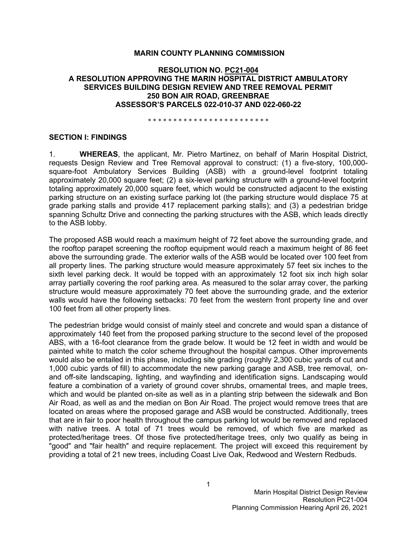### **MARIN COUNTY PLANNING COMMISSION**

### **RESOLUTION NO. PC21-004 A RESOLUTION APPROVING THE MARIN HOSPITAL DISTRICT AMBULATORY SERVICES BUILDING DESIGN REVIEW AND TREE REMOVAL PERMIT 250 BON AIR ROAD, GREENBRAE ASSESSOR'S PARCELS 022-010-37 AND 022-060-22**

\* \* \* \* \* \* \* \* \* \* \* \* \* \* \* \* \* \* \* \* \* \* \* \*

#### **SECTION I: FINDINGS**

1. **WHEREAS**, the applicant, Mr. Pietro Martinez, on behalf of Marin Hospital District, requests Design Review and Tree Removal approval to construct: (1) a five-story, 100,000 square-foot Ambulatory Services Building (ASB) with a ground-level footprint totaling approximately 20,000 square feet; (2) a six-level parking structure with a ground-level footprint totaling approximately 20,000 square feet, which would be constructed adjacent to the existing parking structure on an existing surface parking lot (the parking structure would displace 75 at grade parking stalls and provide 417 replacement parking stalls); and (3) a pedestrian bridge spanning Schultz Drive and connecting the parking structures with the ASB, which leads directly to the ASB lobby.

The proposed ASB would reach a maximum height of 72 feet above the surrounding grade, and the rooftop parapet screening the rooftop equipment would reach a maximum height of 86 feet above the surrounding grade. The exterior walls of the ASB would be located over 100 feet from all property lines. The parking structure would measure approximately 57 feet six inches to the sixth level parking deck. It would be topped with an approximately 12 foot six inch high solar array partially covering the roof parking area. As measured to the solar array cover, the parking structure would measure approximately 70 feet above the surrounding grade, and the exterior walls would have the following setbacks: 70 feet from the western front property line and over 100 feet from all other property lines.

The pedestrian bridge would consist of mainly steel and concrete and would span a distance of approximately 140 feet from the proposed parking structure to the second level of the proposed ABS, with a 16-foot clearance from the grade below. It would be 12 feet in width and would be painted white to match the color scheme throughout the hospital campus. Other improvements would also be entailed in this phase, including site grading (roughly 2,300 cubic yards of cut and 1,000 cubic yards of fill) to accommodate the new parking garage and ASB, tree removal, onand off-site landscaping, lighting, and wayfinding and identification signs. Landscaping would feature a combination of a variety of ground cover shrubs, ornamental trees, and maple trees, which and would be planted on-site as well as in a planting strip between the sidewalk and Bon Air Road, as well as and the median on Bon Air Road. The project would remove trees that are located on areas where the proposed garage and ASB would be constructed. Additionally, trees that are in fair to poor health throughout the campus parking lot would be removed and replaced with native trees. A total of 71 trees would be removed, of which five are marked as protected/heritage trees. Of those five protected/heritage trees, only two qualify as being in "good" and "fair health" and require replacement. The project will exceed this requirement by providing a total of 21 new trees, including Coast Live Oak, Redwood and Western Redbuds.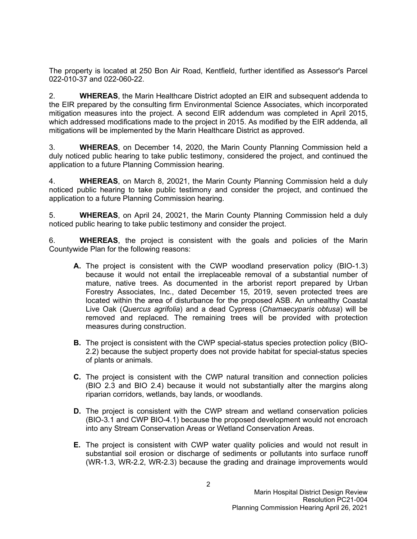The property is located at 250 Bon Air Road, Kentfield, further identified as Assessor's Parcel 022-010-37 and 022-060-22.

2. **WHEREAS**, the Marin Healthcare District adopted an EIR and subsequent addenda to the EIR prepared by the consulting firm Environmental Science Associates, which incorporated mitigation measures into the project. A second EIR addendum was completed in April 2015, which addressed modifications made to the project in 2015. As modified by the EIR addenda, all mitigations will be implemented by the Marin Healthcare District as approved.

3. **WHEREAS**, on December 14, 2020, the Marin County Planning Commission held a duly noticed public hearing to take public testimony, considered the project, and continued the application to a future Planning Commission hearing.

4. **WHEREAS**, on March 8, 20021, the Marin County Planning Commission held a duly noticed public hearing to take public testimony and consider the project, and continued the application to a future Planning Commission hearing.

5. **WHEREAS**, on April 24, 20021, the Marin County Planning Commission held a duly noticed public hearing to take public testimony and consider the project.

6. **WHEREAS**, the project is consistent with the goals and policies of the Marin Countywide Plan for the following reasons:

- **A.** The project is consistent with the CWP woodland preservation policy (BIO-1.3) because it would not entail the irreplaceable removal of a substantial number of mature, native trees. As documented in the arborist report prepared by Urban Forestry Associates, Inc., dated December 15, 2019, seven protected trees are located within the area of disturbance for the proposed ASB. An unhealthy Coastal Live Oak (*Quercus agrifolia*) and a dead Cypress (*Chamaecyparis obtusa*) will be removed and replaced. The remaining trees will be provided with protection measures during construction.
- **B.** The project is consistent with the CWP special-status species protection policy (BIO-2.2) because the subject property does not provide habitat for special-status species of plants or animals.
- **C.** The project is consistent with the CWP natural transition and connection policies (BIO 2.3 and BIO 2.4) because it would not substantially alter the margins along riparian corridors, wetlands, bay lands, or woodlands.
- **D.** The project is consistent with the CWP stream and wetland conservation policies (BIO-3.1 and CWP BIO-4.1) because the proposed development would not encroach into any Stream Conservation Areas or Wetland Conservation Areas.
- **E.** The project is consistent with CWP water quality policies and would not result in substantial soil erosion or discharge of sediments or pollutants into surface runoff (WR-1.3, WR-2.2, WR-2.3) because the grading and drainage improvements would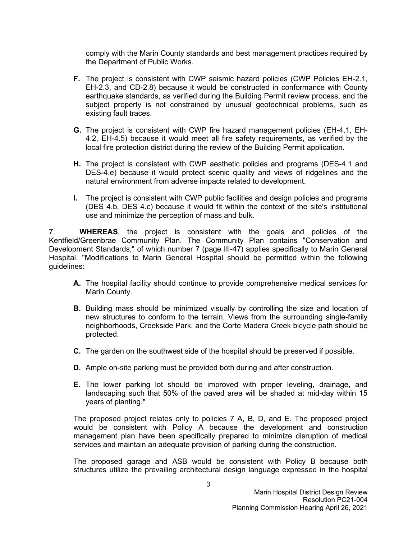comply with the Marin County standards and best management practices required by the Department of Public Works.

- **F.** The project is consistent with CWP seismic hazard policies (CWP Policies EH-2.1, EH-2.3, and CD-2.8) because it would be constructed in conformance with County earthquake standards, as verified during the Building Permit review process, and the subject property is not constrained by unusual geotechnical problems, such as existing fault traces.
- **G.** The project is consistent with CWP fire hazard management policies (EH-4.1, EH-4.2, EH-4.5) because it would meet all fire safety requirements, as verified by the local fire protection district during the review of the Building Permit application.
- **H.** The project is consistent with CWP aesthetic policies and programs (DES-4.1 and DES-4.e) because it would protect scenic quality and views of ridgelines and the natural environment from adverse impacts related to development.
- **I.** The project is consistent with CWP public facilities and design policies and programs (DES 4.b, DES 4.c) because it would fit within the context of the site's institutional use and minimize the perception of mass and bulk.

7. **WHEREAS**, the project is consistent with the goals and policies of the Kentfield/Greenbrae Community Plan. The Community Plan contains "Conservation and Development Standards," of which number 7 (page III-47) applies specifically to Marin General Hospital. "Modifications to Marin General Hospital should be permitted within the following guidelines:

- **A.** The hospital facility should continue to provide comprehensive medical services for Marin County.
- **B.** Building mass should be minimized visually by controlling the size and location of new structures to conform to the terrain. Views from the surrounding single-family neighborhoods, Creekside Park, and the Corte Madera Creek bicycle path should be protected.
- **C.** The garden on the southwest side of the hospital should be preserved if possible.
- **D.** Ample on-site parking must be provided both during and after construction.
- **E.** The lower parking lot should be improved with proper leveling, drainage, and landscaping such that 50% of the paved area will be shaded at mid-day within 15 years of planting."

The proposed project relates only to policies 7 A, B, D, and E. The proposed project would be consistent with Policy A because the development and construction management plan have been specifically prepared to minimize disruption of medical services and maintain an adequate provision of parking during the construction.

The proposed garage and ASB would be consistent with Policy B because both structures utilize the prevailing architectural design language expressed in the hospital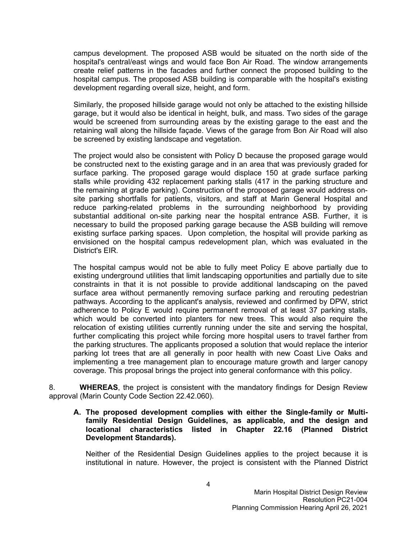campus development. The proposed ASB would be situated on the north side of the hospital's central/east wings and would face Bon Air Road. The window arrangements create relief patterns in the facades and further connect the proposed building to the hospital campus. The proposed ASB building is comparable with the hospital's existing development regarding overall size, height, and form.

Similarly, the proposed hillside garage would not only be attached to the existing hillside garage, but it would also be identical in height, bulk, and mass. Two sides of the garage would be screened from surrounding areas by the existing garage to the east and the retaining wall along the hillside façade. Views of the garage from Bon Air Road will also be screened by existing landscape and vegetation.

The project would also be consistent with Policy D because the proposed garage would be constructed next to the existing garage and in an area that was previously graded for surface parking. The proposed garage would displace 150 at grade surface parking stalls while providing 432 replacement parking stalls (417 in the parking structure and the remaining at grade parking). Construction of the proposed garage would address onsite parking shortfalls for patients, visitors, and staff at Marin General Hospital and reduce parking-related problems in the surrounding neighborhood by providing substantial additional on-site parking near the hospital entrance ASB. Further, it is necessary to build the proposed parking garage because the ASB building will remove existing surface parking spaces. Upon completion, the hospital will provide parking as envisioned on the hospital campus redevelopment plan, which was evaluated in the District's EIR.

The hospital campus would not be able to fully meet Policy E above partially due to existing underground utilities that limit landscaping opportunities and partially due to site constraints in that it is not possible to provide additional landscaping on the paved surface area without permanently removing surface parking and rerouting pedestrian pathways. According to the applicant's analysis, reviewed and confirmed by DPW, strict adherence to Policy E would require permanent removal of at least 37 parking stalls, which would be converted into planters for new trees. This would also require the relocation of existing utilities currently running under the site and serving the hospital, further complicating this project while forcing more hospital users to travel farther from the parking structures. The applicants proposed a solution that would replace the interior parking lot trees that are all generally in poor health with new Coast Live Oaks and implementing a tree management plan to encourage mature growth and larger canopy coverage. This proposal brings the project into general conformance with this policy.

8. **WHEREAS**, the project is consistent with the mandatory findings for Design Review approval (Marin County Code Section 22.42.060).

**A. The proposed development complies with either the Single-family or Multifamily Residential Design Guidelines, as applicable, and the design and locational characteristics listed in Chapter 22.16 (Planned District Development Standards).**

Neither of the Residential Design Guidelines applies to the project because it is institutional in nature. However, the project is consistent with the Planned District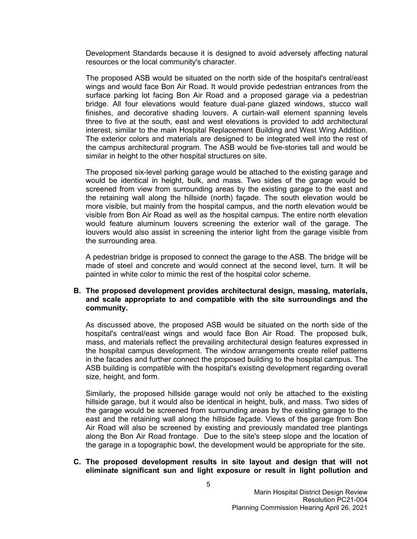Development Standards because it is designed to avoid adversely affecting natural resources or the local community's character.

The proposed ASB would be situated on the north side of the hospital's central/east wings and would face Bon Air Road. It would provide pedestrian entrances from the surface parking lot facing Bon Air Road and a proposed garage via a pedestrian bridge. All four elevations would feature dual-pane glazed windows, stucco wall finishes, and decorative shading louvers. A curtain-wall element spanning levels three to five at the south, east and west elevations is provided to add architectural interest, similar to the main Hospital Replacement Building and West Wing Addition. The exterior colors and materials are designed to be integrated well into the rest of the campus architectural program. The ASB would be five-stories tall and would be similar in height to the other hospital structures on site.

The proposed six-level parking garage would be attached to the existing garage and would be identical in height, bulk, and mass. Two sides of the garage would be screened from view from surrounding areas by the existing garage to the east and the retaining wall along the hillside (north) façade. The south elevation would be more visible, but mainly from the hospital campus, and the north elevation would be visible from Bon Air Road as well as the hospital campus. The entire north elevation would feature aluminum louvers screening the exterior wall of the garage. The louvers would also assist in screening the interior light from the garage visible from the surrounding area.

A pedestrian bridge is proposed to connect the garage to the ASB. The bridge will be made of steel and concrete and would connect at the second level, turn. It will be painted in white color to mimic the rest of the hospital color scheme.

#### **B. The proposed development provides architectural design, massing, materials, and scale appropriate to and compatible with the site surroundings and the community.**

As discussed above, the proposed ASB would be situated on the north side of the hospital's central/east wings and would face Bon Air Road. The proposed bulk, mass, and materials reflect the prevailing architectural design features expressed in the hospital campus development. The window arrangements create relief patterns in the facades and further connect the proposed building to the hospital campus. The ASB building is compatible with the hospital's existing development regarding overall size, height, and form.

Similarly, the proposed hillside garage would not only be attached to the existing hillside garage, but it would also be identical in height, bulk, and mass. Two sides of the garage would be screened from surrounding areas by the existing garage to the east and the retaining wall along the hillside façade. Views of the garage from Bon Air Road will also be screened by existing and previously mandated tree plantings along the Bon Air Road frontage. Due to the site's steep slope and the location of the garage in a topographic bowl, the development would be appropriate for the site.

### **C. The proposed development results in site layout and design that will not eliminate significant sun and light exposure or result in light pollution and**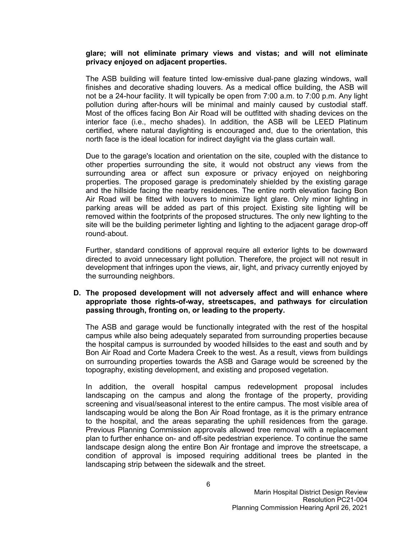#### **glare; will not eliminate primary views and vistas; and will not eliminate privacy enjoyed on adjacent properties.**

The ASB building will feature tinted low-emissive dual-pane glazing windows, wall finishes and decorative shading louvers. As a medical office building, the ASB will not be a 24-hour facility. It will typically be open from 7:00 a.m. to 7:00 p.m. Any light pollution during after-hours will be minimal and mainly caused by custodial staff. Most of the offices facing Bon Air Road will be outfitted with shading devices on the interior face (i.e., mecho shades). In addition, the ASB will be LEED Platinum certified, where natural daylighting is encouraged and, due to the orientation, this north face is the ideal location for indirect daylight via the glass curtain wall.

Due to the garage's location and orientation on the site, coupled with the distance to other properties surrounding the site, it would not obstruct any views from the surrounding area or affect sun exposure or privacy enjoyed on neighboring properties. The proposed garage is predominately shielded by the existing garage and the hillside facing the nearby residences. The entire north elevation facing Bon Air Road will be fitted with louvers to minimize light glare. Only minor lighting in parking areas will be added as part of this project. Existing site lighting will be removed within the footprints of the proposed structures. The only new lighting to the site will be the building perimeter lighting and lighting to the adjacent garage drop-off round-about.

Further, standard conditions of approval require all exterior lights to be downward directed to avoid unnecessary light pollution. Therefore, the project will not result in development that infringes upon the views, air, light, and privacy currently enjoyed by the surrounding neighbors.

### **D. The proposed development will not adversely affect and will enhance where appropriate those rights-of-way, streetscapes, and pathways for circulation passing through, fronting on, or leading to the property.**

The ASB and garage would be functionally integrated with the rest of the hospital campus while also being adequately separated from surrounding properties because the hospital campus is surrounded by wooded hillsides to the east and south and by Bon Air Road and Corte Madera Creek to the west. As a result, views from buildings on surrounding properties towards the ASB and Garage would be screened by the topography, existing development, and existing and proposed vegetation.

In addition, the overall hospital campus redevelopment proposal includes landscaping on the campus and along the frontage of the property, providing screening and visual/seasonal interest to the entire campus. The most visible area of landscaping would be along the Bon Air Road frontage, as it is the primary entrance to the hospital, and the areas separating the uphill residences from the garage. Previous Planning Commission approvals allowed tree removal with a replacement plan to further enhance on- and off-site pedestrian experience. To continue the same landscape design along the entire Bon Air frontage and improve the streetscape, a condition of approval is imposed requiring additional trees be planted in the landscaping strip between the sidewalk and the street.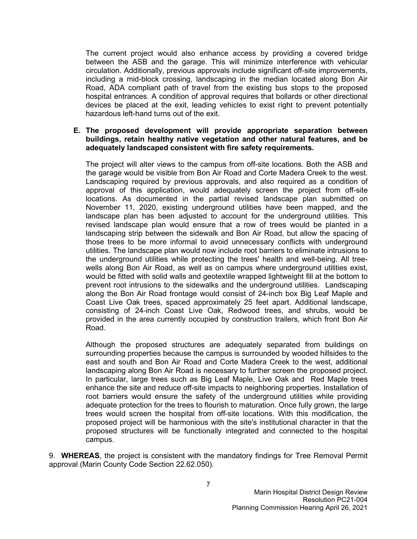The current project would also enhance access by providing a covered bridge between the ASB and the garage. This will minimize interference with vehicular circulation. Additionally, previous approvals include significant off-site improvements, including a mid-block crossing, landscaping in the median located along Bon Air Road, ADA compliant path of travel from the existing bus stops to the proposed hospital entrances. A condition of approval requires that bollards or other directional devices be placed at the exit, leading vehicles to exist right to prevent potentially hazardous left-hand turns out of the exit.

#### **E. The proposed development will provide appropriate separation between buildings, retain healthy native vegetation and other natural features, and be adequately landscaped consistent with fire safety requirements.**

The project will alter views to the campus from off-site locations. Both the ASB and the garage would be visible from Bon Air Road and Corte Madera Creek to the west. Landscaping required by previous approvals, and also required as a condition of approval of this application, would adequately screen the project from off-site locations. As documented in the partial revised landscape plan submitted on November 11, 2020, existing underground utilities have been mapped, and the landscape plan has been adjusted to account for the underground utilities. This revised landscape plan would ensure that a row of trees would be planted in a landscaping strip between the sidewalk and Bon Air Road, but allow the spacing of those trees to be more informal to avoid unnecessary conflicts with underground utilities. The landscape plan would now include root barriers to eliminate intrusions to the underground utilities while protecting the trees' health and well-being. All treewells along Bon Air Road, as well as on campus where underground utilities exist, would be fitted with solid walls and geotextile wrapped lightweight fill at the bottom to prevent root intrusions to the sidewalks and the underground utilities. Landscaping along the Bon Air Road frontage would consist of 24-inch box Big Leaf Maple and Coast Live Oak trees, spaced approximately 25 feet apart. Additional landscape, consisting of 24-inch Coast Live Oak, Redwood trees, and shrubs, would be provided in the area currently occupied by construction trailers, which front Bon Air Road.

Although the proposed structures are adequately separated from buildings on surrounding properties because the campus is surrounded by wooded hillsides to the east and south and Bon Air Road and Corte Madera Creek to the west, additional landscaping along Bon Air Road is necessary to further screen the proposed project. In particular, large trees such as Big Leaf Maple, Live Oak and Red Maple trees enhance the site and reduce off-site impacts to neighboring properties. Installation of root barriers would ensure the safety of the underground utilities while providing adequate protection for the trees to flourish to maturation. Once fully grown, the large trees would screen the hospital from off-site locations. With this modification, the proposed project will be harmonious with the site's institutional character in that the proposed structures will be functionally integrated and connected to the hospital campus.

9. **WHEREAS**, the project is consistent with the mandatory findings for Tree Removal Permit approval (Marin County Code Section 22.62.050).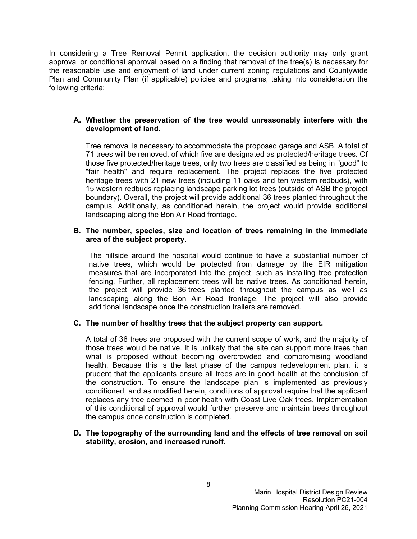In considering a Tree Removal Permit application, the decision authority may only grant approval or conditional approval based on a finding that removal of the tree(s) is necessary for the reasonable use and enjoyment of land under current zoning regulations and Countywide Plan and Community Plan (if applicable) policies and programs, taking into consideration the following criteria:

## **A. Whether the preservation of the tree would unreasonably interfere with the development of land.**

Tree removal is necessary to accommodate the proposed garage and ASB. A total of 71 trees will be removed, of which five are designated as protected/heritage trees. Of those five protected/heritage trees, only two trees are classified as being in "good" to "fair health" and require replacement. The project replaces the five protected heritage trees with 21 new trees (including 11 oaks and ten western redbuds), with 15 western redbuds replacing landscape parking lot trees (outside of ASB the project boundary). Overall, the project will provide additional 36 trees planted throughout the campus. Additionally, as conditioned herein, the project would provide additional landscaping along the Bon Air Road frontage.

## **B. The number, species, size and location of trees remaining in the immediate area of the subject property.**

The hillside around the hospital would continue to have a substantial number of native trees, which would be protected from damage by the EIR mitigation measures that are incorporated into the project, such as installing tree protection fencing. Further, all replacement trees will be native trees. As conditioned herein, the project will provide 36 trees planted throughout the campus as well as landscaping along the Bon Air Road frontage. The project will also provide additional landscape once the construction trailers are removed.

## **C. The number of healthy trees that the subject property can support.**

A total of 36 trees are proposed with the current scope of work, and the majority of those trees would be native. It is unlikely that the site can support more trees than what is proposed without becoming overcrowded and compromising woodland health. Because this is the last phase of the campus redevelopment plan, it is prudent that the applicants ensure all trees are in good health at the conclusion of the construction. To ensure the landscape plan is implemented as previously conditioned, and as modified herein, conditions of approval require that the applicant replaces any tree deemed in poor health with Coast Live Oak trees. Implementation of this conditional of approval would further preserve and maintain trees throughout the campus once construction is completed.

### **D. The topography of the surrounding land and the effects of tree removal on soil stability, erosion, and increased runoff.**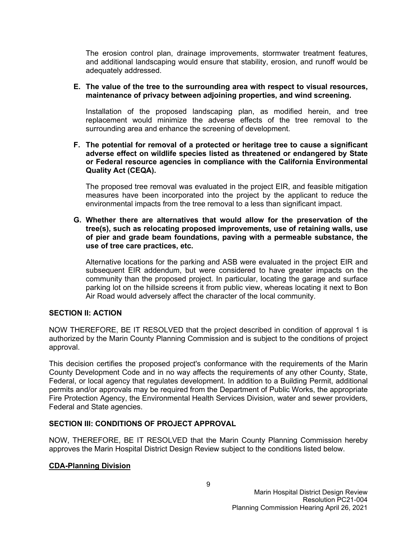The erosion control plan, drainage improvements, stormwater treatment features, and additional landscaping would ensure that stability, erosion, and runoff would be adequately addressed.

### **E. The value of the tree to the surrounding area with respect to visual resources, maintenance of privacy between adjoining properties, and wind screening.**

Installation of the proposed landscaping plan, as modified herein, and tree replacement would minimize the adverse effects of the tree removal to the surrounding area and enhance the screening of development.

### **F. The potential for removal of a protected or heritage tree to cause a significant adverse effect on wildlife species listed as threatened or endangered by State or Federal resource agencies in compliance with the California Environmental Quality Act (CEQA).**

The proposed tree removal was evaluated in the project EIR, and feasible mitigation measures have been incorporated into the project by the applicant to reduce the environmental impacts from the tree removal to a less than significant impact.

### **G. Whether there are alternatives that would allow for the preservation of the tree(s), such as relocating proposed improvements, use of retaining walls, use of pier and grade beam foundations, paving with a permeable substance, the use of tree care practices, etc.**

Alternative locations for the parking and ASB were evaluated in the project EIR and subsequent EIR addendum, but were considered to have greater impacts on the community than the proposed project. In particular, locating the garage and surface parking lot on the hillside screens it from public view, whereas locating it next to Bon Air Road would adversely affect the character of the local community.

## **SECTION II: ACTION**

NOW THEREFORE, BE IT RESOLVED that the project described in condition of approval 1 is authorized by the Marin County Planning Commission and is subject to the conditions of project approval.

This decision certifies the proposed project's conformance with the requirements of the Marin County Development Code and in no way affects the requirements of any other County, State, Federal, or local agency that regulates development. In addition to a Building Permit, additional permits and/or approvals may be required from the Department of Public Works, the appropriate Fire Protection Agency, the Environmental Health Services Division, water and sewer providers, Federal and State agencies.

# **SECTION III: CONDITIONS OF PROJECT APPROVAL**

NOW, THEREFORE, BE IT RESOLVED that the Marin County Planning Commission hereby approves the Marin Hospital District Design Review subject to the conditions listed below.

# **CDA-Planning Division**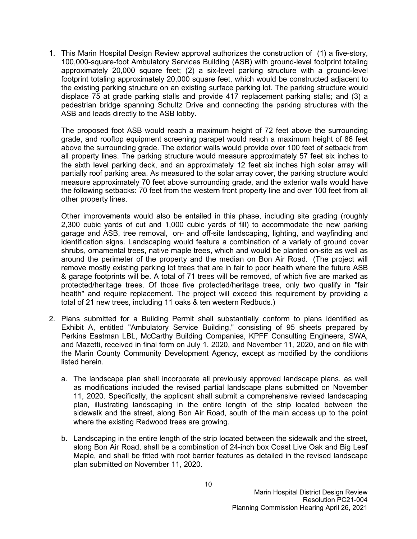1. This Marin Hospital Design Review approval authorizes the construction of (1) a five-story, 100,000-square-foot Ambulatory Services Building (ASB) with ground-level footprint totaling approximately 20,000 square feet; (2) a six-level parking structure with a ground-level footprint totaling approximately 20,000 square feet, which would be constructed adjacent to the existing parking structure on an existing surface parking lot. The parking structure would displace 75 at grade parking stalls and provide 417 replacement parking stalls; and (3) a pedestrian bridge spanning Schultz Drive and connecting the parking structures with the ASB and leads directly to the ASB lobby.

The proposed foot ASB would reach a maximum height of 72 feet above the surrounding grade, and rooftop equipment screening parapet would reach a maximum height of 86 feet above the surrounding grade. The exterior walls would provide over 100 feet of setback from all property lines. The parking structure would measure approximately 57 feet six inches to the sixth level parking deck, and an approximately 12 feet six inches high solar array will partially roof parking area. As measured to the solar array cover, the parking structure would measure approximately 70 feet above surrounding grade, and the exterior walls would have the following setbacks: 70 feet from the western front property line and over 100 feet from all other property lines.

Other improvements would also be entailed in this phase, including site grading (roughly 2,300 cubic yards of cut and 1,000 cubic yards of fill) to accommodate the new parking garage and ASB, tree removal, on- and off-site landscaping, lighting, and wayfinding and identification signs. Landscaping would feature a combination of a variety of ground cover shrubs, ornamental trees, native maple trees, which and would be planted on-site as well as around the perimeter of the property and the median on Bon Air Road. (The project will remove mostly existing parking lot trees that are in fair to poor health where the future ASB & garage footprints will be. A total of 71 trees will be removed, of which five are marked as protected/heritage trees. Of those five protected/heritage trees, only two qualify in "fair health" and require replacement. The project will exceed this requirement by providing a total of 21 new trees, including 11 oaks & ten western Redbuds.)

- 2. Plans submitted for a Building Permit shall substantially conform to plans identified as Exhibit A, entitled "Ambulatory Service Building," consisting of 95 sheets prepared by Perkins Eastman LBL, McCarthy Building Companies, KPFF Consulting Engineers, SWA, and Mazetti, received in final form on July 1, 2020, and November 11, 2020, and on file with the Marin County Community Development Agency, except as modified by the conditions listed herein.
	- a. The landscape plan shall incorporate all previously approved landscape plans, as well as modifications included the revised partial landscape plans submitted on November 11, 2020. Specifically, the applicant shall submit a comprehensive revised landscaping plan, illustrating landscaping in the entire length of the strip located between the sidewalk and the street, along Bon Air Road, south of the main access up to the point where the existing Redwood trees are growing.
	- b. Landscaping in the entire length of the strip located between the sidewalk and the street, along Bon Air Road, shall be a combination of 24-inch box Coast Live Oak and Big Leaf Maple, and shall be fitted with root barrier features as detailed in the revised landscape plan submitted on November 11, 2020.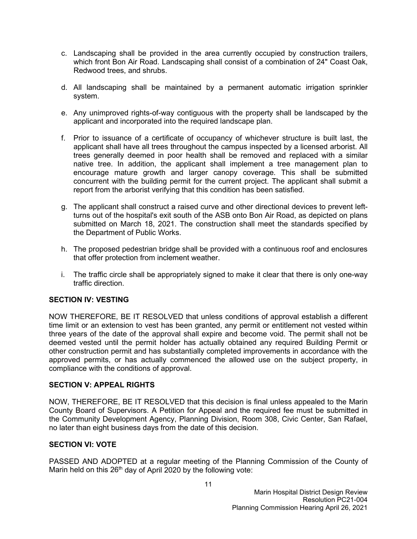- c. Landscaping shall be provided in the area currently occupied by construction trailers, which front Bon Air Road. Landscaping shall consist of a combination of 24" Coast Oak, Redwood trees, and shrubs.
- d. All landscaping shall be maintained by a permanent automatic irrigation sprinkler system.
- e. Any unimproved rights-of-way contiguous with the property shall be landscaped by the applicant and incorporated into the required landscape plan.
- f. Prior to issuance of a certificate of occupancy of whichever structure is built last, the applicant shall have all trees throughout the campus inspected by a licensed arborist. All trees generally deemed in poor health shall be removed and replaced with a similar native tree. In addition, the applicant shall implement a tree management plan to encourage mature growth and larger canopy coverage. This shall be submitted concurrent with the building permit for the current project. The applicant shall submit a report from the arborist verifying that this condition has been satisfied.
- g. The applicant shall construct a raised curve and other directional devices to prevent leftturns out of the hospital's exit south of the ASB onto Bon Air Road, as depicted on plans submitted on March 18, 2021. The construction shall meet the standards specified by the Department of Public Works.
- h. The proposed pedestrian bridge shall be provided with a continuous roof and enclosures that offer protection from inclement weather.
- i. The traffic circle shall be appropriately signed to make it clear that there is only one-way traffic direction.

## **SECTION IV: VESTING**

NOW THEREFORE, BE IT RESOLVED that unless conditions of approval establish a different time limit or an extension to vest has been granted, any permit or entitlement not vested within three years of the date of the approval shall expire and become void. The permit shall not be deemed vested until the permit holder has actually obtained any required Building Permit or other construction permit and has substantially completed improvements in accordance with the approved permits, or has actually commenced the allowed use on the subject property, in compliance with the conditions of approval.

## **SECTION V: APPEAL RIGHTS**

NOW, THEREFORE, BE IT RESOLVED that this decision is final unless appealed to the Marin County Board of Supervisors. A Petition for Appeal and the required fee must be submitted in the Community Development Agency, Planning Division, Room 308, Civic Center, San Rafael, no later than eight business days from the date of this decision.

## **SECTION VI: VOTE**

PASSED AND ADOPTED at a regular meeting of the Planning Commission of the County of Marin held on this  $26<sup>th</sup>$  day of April 2020 by the following vote: